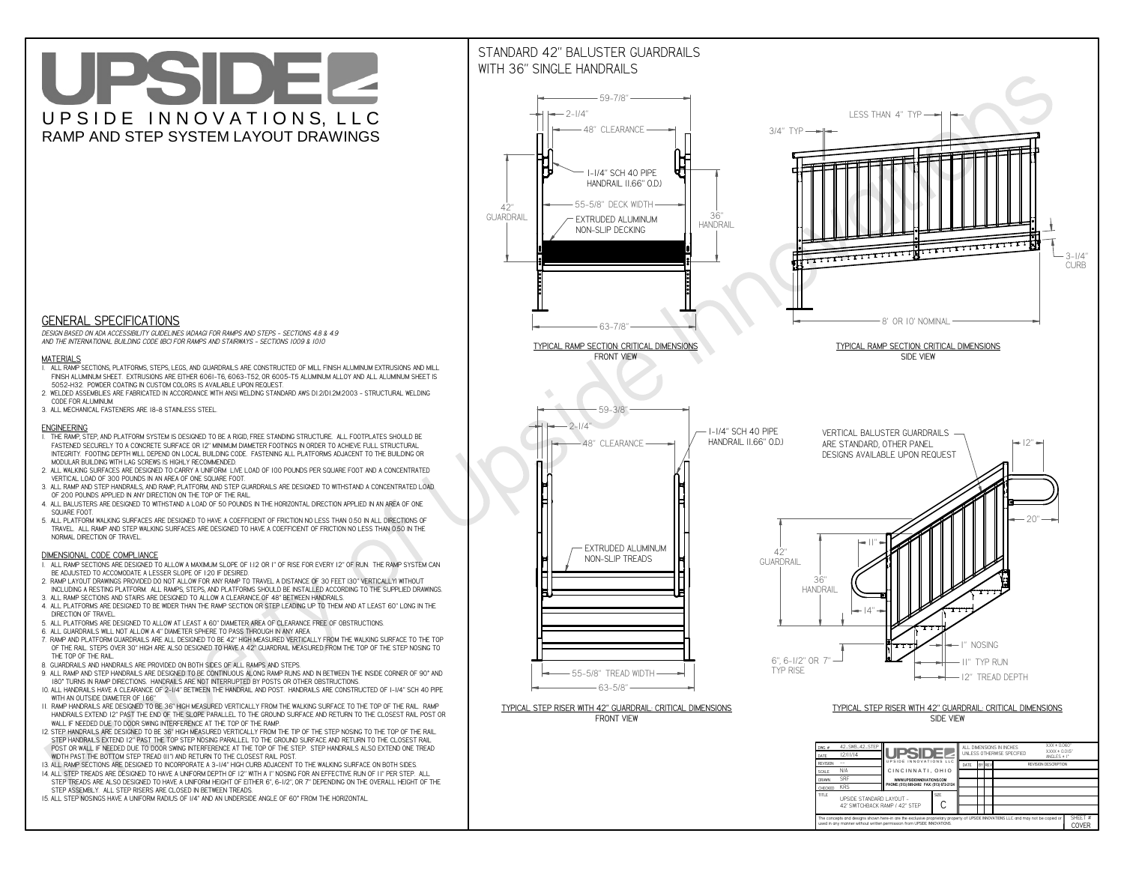**used in any manner without written permission from UPSIDE INNOVATIONS.**

# UPSIDEL UPSIDE INNOVATIONS, LLC RAMP AND STEP SYSTEM LAYOUT DRAWINGS



The concepts and designs shown here-in are the exclusive proprietary property of UPSIDE INNOVATIONS LLC. and may not be copied o

**I** 

SHEET #**COVER**

42' SWITCHBACK RAMP / 42" STEP

# WITH 36" SINGLE HANDRAILS



 *DESIGN BASED ON ADA ACCESSIBILITY GUIDELINES (ADAAG) FOR RAMPS AND STEPS - SECTIONS 4.8 & 4.9AND THE INTERNATIONAL BUILDING CODE (IBC) FOR RAMPS AND STAIRWAYS - SECTIONS 1009 & 1010*

### **MATERIALS**

- **1. ALL RAMP SECTIONS, PLATFORMS, STEPS, LEGS, AND GUARDRAILS ARE CONSTRUCTED OF MILL FINISH ALUMINUM EXTRUSIONS AND MILL FINISH ALUMINUM SHEET. EXTRUSIONS ARE EITHER 6061-T6, 6063-T52, OR 6005-T5 ALUMINUM ALLOY AND ALL ALUMINUM SHEET IS 5052-H32. POWDER COATING IN CUSTOM COLORS IS AVAILABLE UPON REQUEST.**
- **2. WELDED ASSEMBLIES ARE FABRICATED IN ACCORDANCE WITH ANSI WELDING STANDARD AWS D1.2/D1.2M:2003 STRUCTURAL WELDING CODE FOR ALUMINUM.**
- **3. ALL MECHANICAL FASTENERS ARE 18-8 STAINLESS STEEL.**

#### **ENGINEERING**

- **1. THE RAMP, STEP, AND PLATFORM SYSTEM IS DESIGNED TO BE A RIGID, FREE STANDING STRUCTURE. ALL FOOTPLATES SHOULD BE FASTENED SECURELY TO A CONCRETE SURFACE OR 12" MINIMUM DIAMETER FOOTINGS IN ORDER TO ACHIEVE FULL STRUCTURAL INTEGRITY. FOOTING DEPTH WILL DEPEND ON LOCAL BUILDING CODE. FASTENING ALL PLATFORMS ADJACENT TO THE BUILDING OR MODULAR BUILDING WITH LAG SCREWS IS HIGHLY RECOMMENDED.**
- **2. ALL WALKING SURFACES ARE DESIGNED TO CARRY A UNIFORM LIVE LOAD OF 100 POUNDS PER SQUARE FOOT AND A CONCENTRATED VERTICAL LOAD OF 300 POUNDS IN AN AREA OF ONE SQUARE FOOT.**
- **3. ALL RAMP AND STEP HANDRAILS, AND RAMP, PLATFORM, AND STEP GUARDRAILS ARE DESIGNED TO WITHSTAND A CONCENTRATED LOAD OF 200 POUNDS APPLIED IN ANY DIRECTION ON THE TOP OF THE RAIL.**
- **4. ALL BALUSTERS ARE DESIGNED TO WITHSTAND A LOAD OF 50 POUNDS IN THE HORIZONTAL DIRECTION APPLIED IN AN AREA OF ONE SQUARE FOOT.**
- **5. ALL PLATFORM WALKING SURFACES ARE DESIGNED TO HAVE A COEFFICIENT OF FRICTION NO LESS THAN 0.50 IN ALL DIRECTIONS OF TRAVEL. ALL RAMP AND STEP WALKING SURFACES ARE DESIGNED TO HAVE A COEFFICIENT OF FRICTION NO LESS THAN 0.50 IN THE NORMAL DIRECTION OF TRAVEL.**

### **DIMENSIONAL CODE COMPLIANCE**

- **1. ALL RAMP SECTIONS ARE DESIGNED TO ALLOW A MAXIMUM SLOPE OF 1:12 OR 1" OF RISE FOR EVERY 12" OF RUN. THE RAMP SYSTEM CAN BE ADJUSTED TO ACCOMODATE A LESSER SLOPE OF 1:20 IF DESIRED.**
- **2. RAMP LAYOUT DRAWINGS PROVIDED DO NOT ALLOW FOR ANY RAMP TO TRAVEL A DISTANCE OF 30 FEET (30" VERTICALLY) WITHOUT INCLUDING A RESTING PLATFORM. ALL RAMPS, STEPS, AND PLATFORMS SHOULD BE INSTALLED ACCORDING TO THE SUPPLIED DRAWINGS.**
- **3. ALL RAMP SECTIONS AND STAIRS ARE DESIGNED TO ALLOW A CLEARANCE OF 48" BETWEEN HANDRAILS.**
- **4. ALL PLATFORMS ARE DESIGNED TO BE WIDER THAN THE RAMP SECTION OR STEP LEADING UP TO THEM AND AT LEAST 60" LONG IN THE DIRECTION OF TRAVEL.**
- **5. ALL PLATFORMS ARE DESIGNED TO ALLOW AT LEAST A 60" DIAMETER AREA OF CLEARANCE FREE OF OBSTRUCTIONS.**
- **6. ALL GUARDRAILS WILL NOT ALLOW A 4" DIAMETER SPHERE TO PASS THROUGH IN ANY AREA.**
- **7. RAMP AND PLATFORM GUARDRAILS ARE ALL DESIGNED TO BE 42" HIGH MEASURED VERTICALLY FROM THE WALKING SURFACE TO THE TOP OF THE RAIL. STEPS OVER 30" HIGH ARE ALSO DESIGNED TO HAVE A 42" GUARDRAIL MEASURED FROM THE TOP OF THE STEP NOSING TO THE TOP OF THE RAIL.**
- **8. GUARDRAILS AND HANDRAILS ARE PROVIDED ON BOTH SIDES OF ALL RAMPS AND STEPS.**
- **9. ALL RAMP AND STEP HANDRAILS ARE DESIGNED TO BE CONTINUOUS ALONG RAMP RUNS AND IN BETWEEN THE INSIDE CORNER OF 90° AND 180° TURNS IN RAMP DIRECTIONS. HANDRAILS ARE NOT INTERRUPTED BY POSTS OR OTHER OBSTRUCTIONS.**
- **10. ALL HANDRAILS HAVE A CLEARANCE OF 2-1/4" BETWEEN THE HANDRAIL AND POST. HANDRAILS ARE CONSTRUCTED OF 1-1/4" SCH 40 PIPE WITH AN OUTSIDE DIAMETER OF 1.66"**
- **11. RAMP HANDRAILS ARE DESIGNED TO BE 36" HIGH MEASURED VERTICALLY FROM THE WALKING SURFACE TO THE TOP OF THE RAIL. RAMP HANDRAILS EXTEND 12" PAST THE END OF THE SLOPE PARALLEL TO THE GROUND SURFACE AND RETURN TO THE CLOSEST RAIL POST OR WALL IF NEEDED DUE TO DOOR SWING INTERFERENCE AT THE TOP OF THE RAMP.**
- **12. STEP HANDRAILS ARE DESIGNED TO BE 36" HIGH MEASURED VERTICALLY FROM THE TIP OF THE STEP NOSING TO THE TOP OF THE RAIL. STEP HANDRAILS EXTEND 12" PAST THE TOP STEP NOSING PARALLEL TO THE GROUND SURFACE AND RETURN TO THE CLOSEST RAIL POST OR WALL IF NEEDED DUE TO DOOR SWING INTERFERENCE AT THE TOP OF THE STEP. STEP HANDRAILS ALSO EXTEND ONE TREAD WIDTH PAST THE BOTTOM STEP TREAD (11") AND RETURN TO THE CLOSEST RAIL POST.**
- **13. ALL RAMP SECTIONS ARE DESIGNED TO INCORPORATE A 3-1/4" HIGH CURB ADJACENT TO THE WALKING SURFACE ON BOTH SIDES.**
- **14. ALL STEP TREADS ARE DESIGNED TO HAVE A UNIFORM DEPTH OF 12" WITH A 1" NOSING FOR AN EFFECTIVE RUN OF 11" PER STEP. ALL**
- **STEP TREADS ARE ALSO DESIGNED TO HAVE A UNIFORM HEIGHT OF EITHER 6", 6-1/2", OR 7" DEPENDING ON THE OVERALL HEIGHT OF THE STEP ASSEMBLY. ALL STEP RISERS ARE CLOSED IN BETWEEN TREADS.**
- **15. ALL STEP NOSINGS HAVE A UNIFORM RADIUS OF 1/4" AND AN UNDERSIDE ANGLE OF 60° FROM THE HORIZONTAL.**